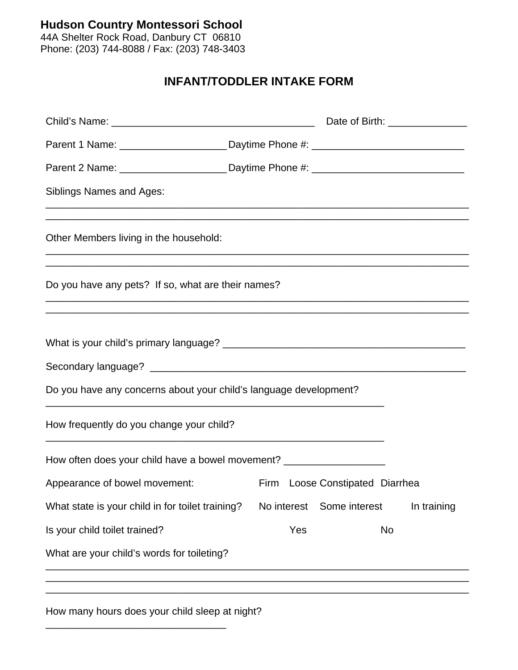**Hudson Country Montessori School** 

44A Shelter Rock Road, Danbury CT 06810 Phone: (203) 744-8088 / Fax: (203) 748-3403

## **INFANT/TODDLER INTAKE FORM**

| Parent 1 Name: _________________________Daytime Phone #: _______________________                                                                                                                            |             |                                 |    |             |
|-------------------------------------------------------------------------------------------------------------------------------------------------------------------------------------------------------------|-------------|---------------------------------|----|-------------|
| Parent 2 Name: ________________________Daytime Phone #: ________________________                                                                                                                            |             |                                 |    |             |
| Siblings Names and Ages:                                                                                                                                                                                    |             |                                 |    |             |
| Other Members living in the household:                                                                                                                                                                      |             |                                 |    |             |
| ,我们也不能在这里的时候,我们也不能在这里的时候,我们也不能在这里的时候,我们也不能会不能会不能会不能会不能会不能会不能会不能会。<br>第2012章 我们的时候,我们的时候,我们的时候,我们的时候,我们的时候,我们的时候,我们的时候,我们的时候,我们的时候,我们的时候,我们的时候,我们的时候,我<br>Do you have any pets? If so, what are their names? |             |                                 |    |             |
|                                                                                                                                                                                                             |             |                                 |    |             |
|                                                                                                                                                                                                             |             |                                 |    |             |
| Do you have any concerns about your child's language development?                                                                                                                                           |             |                                 |    |             |
| How frequently do you change your child?<br><u> 1980 - Johann Stoff, amerikansk politiker (* 1900)</u>                                                                                                      |             |                                 |    |             |
| How often does your child have a bowel movement? _______________________________                                                                                                                            |             |                                 |    |             |
| Appearance of bowel movement:                                                                                                                                                                               |             | Firm Loose Constipated Diarrhea |    |             |
| What state is your child in for toilet training?                                                                                                                                                            | No interest | Some interest                   |    | In training |
| Is your child toilet trained?                                                                                                                                                                               | Yes         |                                 | No |             |
|                                                                                                                                                                                                             |             |                                 |    |             |

How many hours does your child sleep at night?

\_\_\_\_\_\_\_\_\_\_\_\_\_\_\_\_\_\_\_\_\_\_\_\_\_\_\_\_\_\_\_\_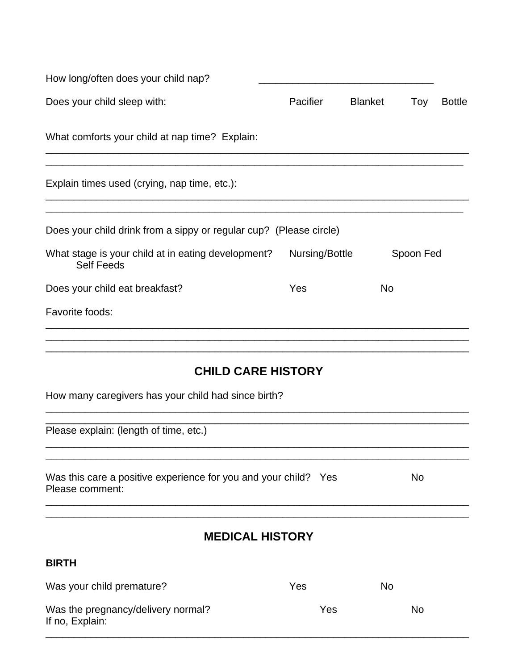| How long/often does your child nap?                                                |                |                |           |               |
|------------------------------------------------------------------------------------|----------------|----------------|-----------|---------------|
| Does your child sleep with:                                                        | Pacifier       | <b>Blanket</b> | Toy       | <b>Bottle</b> |
| What comforts your child at nap time? Explain:                                     |                |                |           |               |
| Explain times used (crying, nap time, etc.):                                       |                |                |           |               |
| Does your child drink from a sippy or regular cup? (Please circle)                 |                |                |           |               |
| What stage is your child at in eating development?<br><b>Self Feeds</b>            | Nursing/Bottle |                | Spoon Fed |               |
| Does your child eat breakfast?                                                     | Yes            | <b>No</b>      |           |               |
| Favorite foods:                                                                    |                |                |           |               |
| <b>CHILD CARE HISTORY</b>                                                          |                |                |           |               |
| How many caregivers has your child had since birth?                                |                |                |           |               |
| Please explain: (length of time, etc.)                                             |                |                |           |               |
| Was this care a positive experience for you and your child? Yes<br>Please comment: |                |                | No        |               |
| <b>MEDICAL HISTORY</b>                                                             |                |                |           |               |
| <b>BIRTH</b>                                                                       |                |                |           |               |
| Was your child premature?                                                          | Yes.           | <b>No</b>      |           |               |

| <b>Trap your critical profitation</b>                 | ט שו | .  |
|-------------------------------------------------------|------|----|
| Was the pregnancy/delivery normal?<br>If no, Explain: | Yes  | No |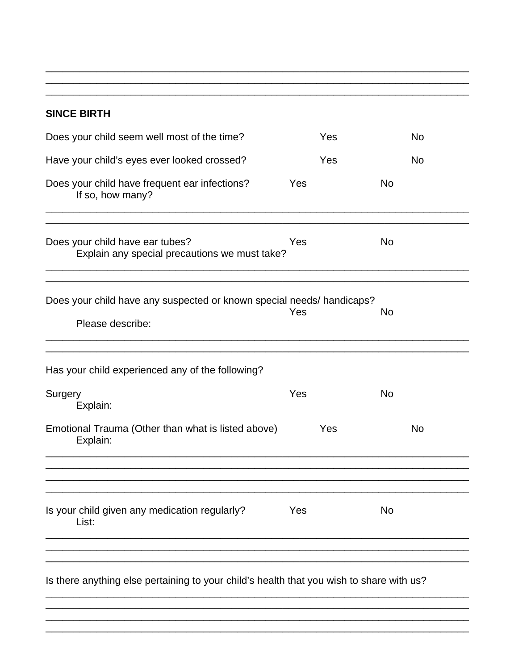## **SINCE BIRTH**

| Does your child seem well most of the time?                                               | Yes | <b>No</b> |
|-------------------------------------------------------------------------------------------|-----|-----------|
| Have your child's eyes ever looked crossed?                                               | Yes | <b>No</b> |
| Does your child have frequent ear infections?<br>If so, how many?                         | Yes | <b>No</b> |
| Does your child have ear tubes?<br>Explain any special precautions we must take?          | Yes | <b>No</b> |
| Does your child have any suspected or known special needs/ handicaps?<br>Please describe: | Yes | No        |
| Has your child experienced any of the following?                                          |     |           |
| Surgery<br>Explain:                                                                       | Yes | <b>No</b> |
| Emotional Trauma (Other than what is listed above)<br>Explain:                            | Yes | <b>No</b> |
| Is your child given any medication regularly?<br>List:                                    | Yes | No        |
| Is there anything else pertaining to your child's health that you wish to share with us?  |     |           |
|                                                                                           |     |           |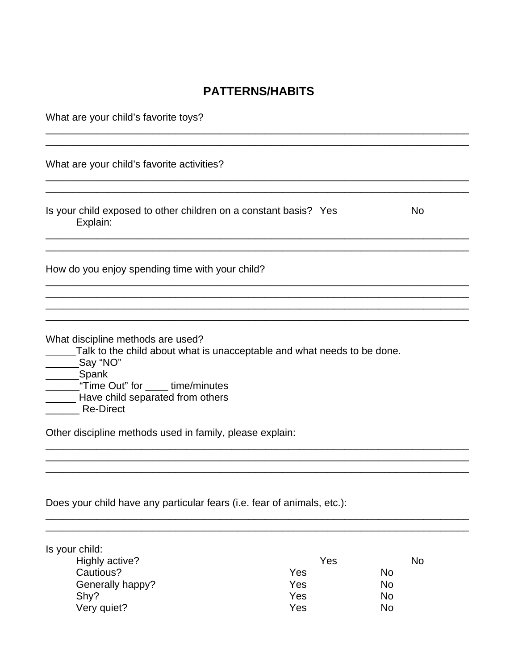## **PATTERNS/HABITS**

| What are your child's favorite toys?                                                                                                                                                                                                                                                         |           |
|----------------------------------------------------------------------------------------------------------------------------------------------------------------------------------------------------------------------------------------------------------------------------------------------|-----------|
| What are your child's favorite activities?                                                                                                                                                                                                                                                   |           |
| Is your child exposed to other children on a constant basis? Yes<br>Explain:                                                                                                                                                                                                                 | <b>No</b> |
| How do you enjoy spending time with your child?                                                                                                                                                                                                                                              |           |
| What discipline methods are used?<br>Talk to the child about what is unacceptable and what needs to be done.<br>Say "NO"<br>__Spank<br>"Time Out" for _____ time/minutes<br>Have child separated from others<br><b>Re-Direct</b><br>Other discipline methods used in family, please explain: |           |
|                                                                                                                                                                                                                                                                                              |           |
| Does your child have any particular fears (i.e. fear of animals, etc.):                                                                                                                                                                                                                      |           |

| Is your child:   |     |           |
|------------------|-----|-----------|
| Highly active?   | Yes | <b>No</b> |
| Cautious?        | Yes | No        |
| Generally happy? | Yes | No        |
| Shy?             | Yes | No        |
| Very quiet?      | Yes | <b>No</b> |